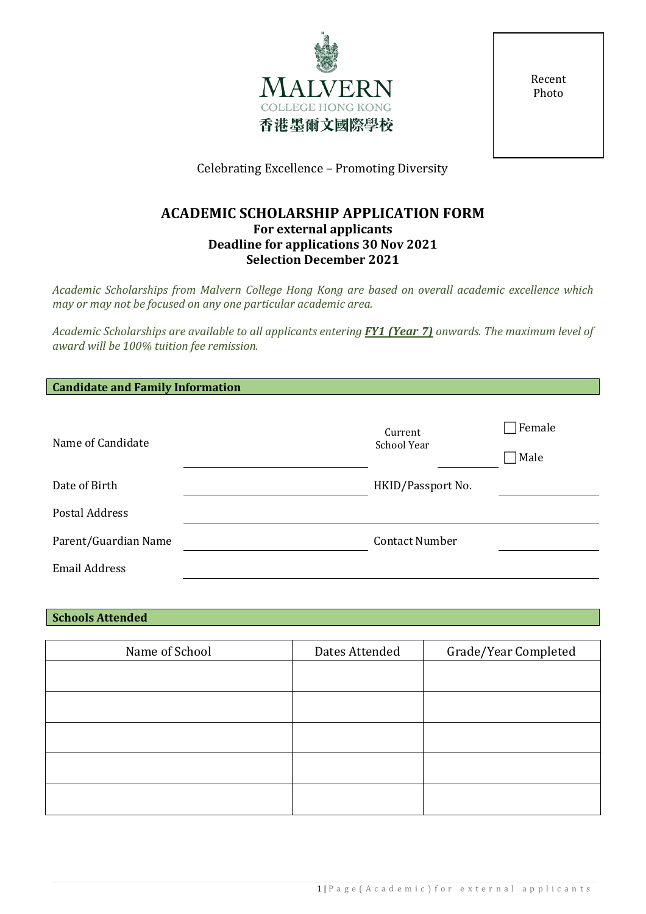

Recent Photo

Celebrating Excellence – Promoting Diversity

# **ACADEMIC SCHOLARSHIP APPLICATION FORM For external applicants Deadline for applications 30 Nov 2021 Selection December 2021**

*Academic Scholarships from Malvern College Hong Kong are based on overall academic excellence which may or may not be focused on any one particular academic area.*

*Academic Scholarships are available to all applicants entering FY1 (Year 7) onwards. The maximum level of award will be 100% tuition fee remission.*

| Name of Candidate     | Current<br>School Year | $\Box$ Female<br>$\neg$ Male |
|-----------------------|------------------------|------------------------------|
| Date of Birth         |                        |                              |
|                       | HKID/Passport No.      |                              |
| <b>Postal Address</b> |                        |                              |
| Parent/Guardian Name  | <b>Contact Number</b>  |                              |
| <b>Email Address</b>  |                        |                              |

## **Schools Attended**

| Name of School | Dates Attended | Grade/Year Completed |
|----------------|----------------|----------------------|
|                |                |                      |
|                |                |                      |
|                |                |                      |
|                |                |                      |
|                |                |                      |
|                |                |                      |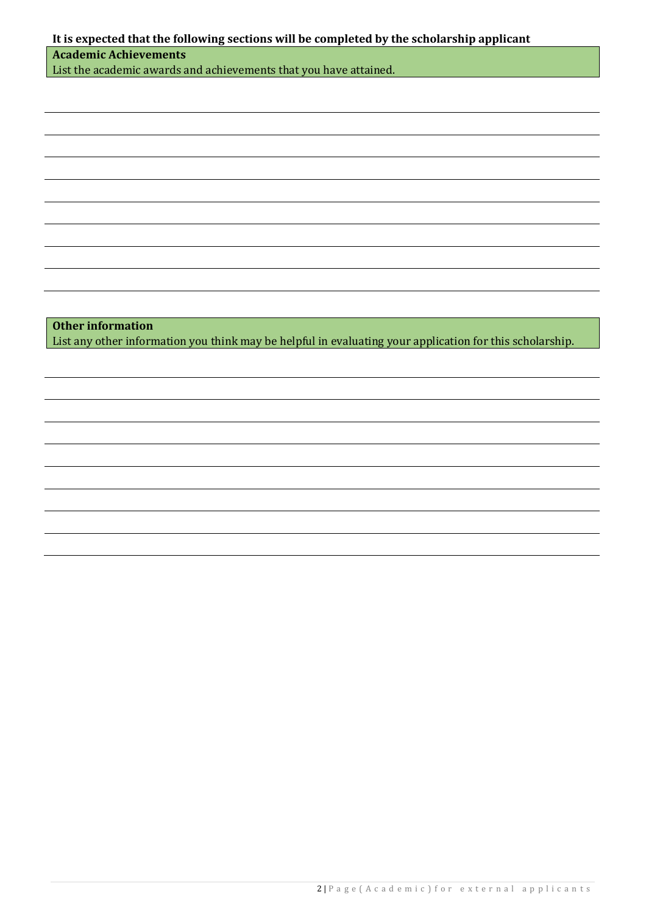| It is expected that the following sections will be completed by the scholarship applicant<br><b>Academic Achievements</b> |  |  |
|---------------------------------------------------------------------------------------------------------------------------|--|--|
| List the academic awards and achievements that you have attained.                                                         |  |  |
|                                                                                                                           |  |  |
|                                                                                                                           |  |  |
|                                                                                                                           |  |  |
|                                                                                                                           |  |  |
|                                                                                                                           |  |  |
|                                                                                                                           |  |  |
|                                                                                                                           |  |  |
|                                                                                                                           |  |  |
|                                                                                                                           |  |  |
|                                                                                                                           |  |  |
|                                                                                                                           |  |  |
|                                                                                                                           |  |  |
|                                                                                                                           |  |  |
| <b>Other information</b>                                                                                                  |  |  |
| List any other information you think may be helpful in evaluating your application for this scholarship.                  |  |  |
|                                                                                                                           |  |  |
|                                                                                                                           |  |  |
|                                                                                                                           |  |  |
|                                                                                                                           |  |  |
|                                                                                                                           |  |  |
|                                                                                                                           |  |  |
|                                                                                                                           |  |  |
|                                                                                                                           |  |  |
|                                                                                                                           |  |  |
|                                                                                                                           |  |  |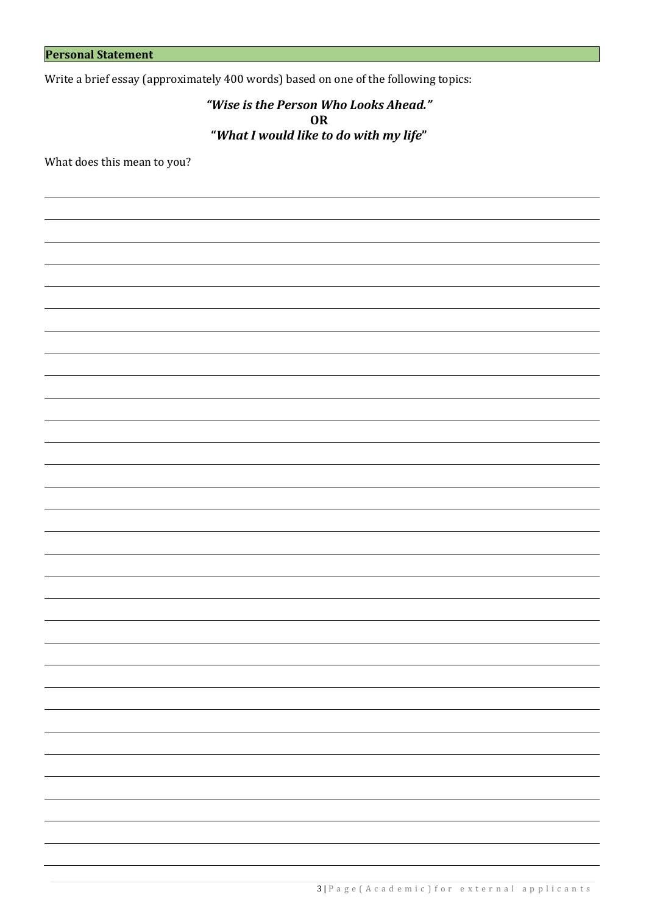Write a brief essay (approximately 400 words) based on one of the following topics:

*"Wise is the Person Who Looks Ahead."* **OR "***What I would like to do with my life***"**

What does this mean to you?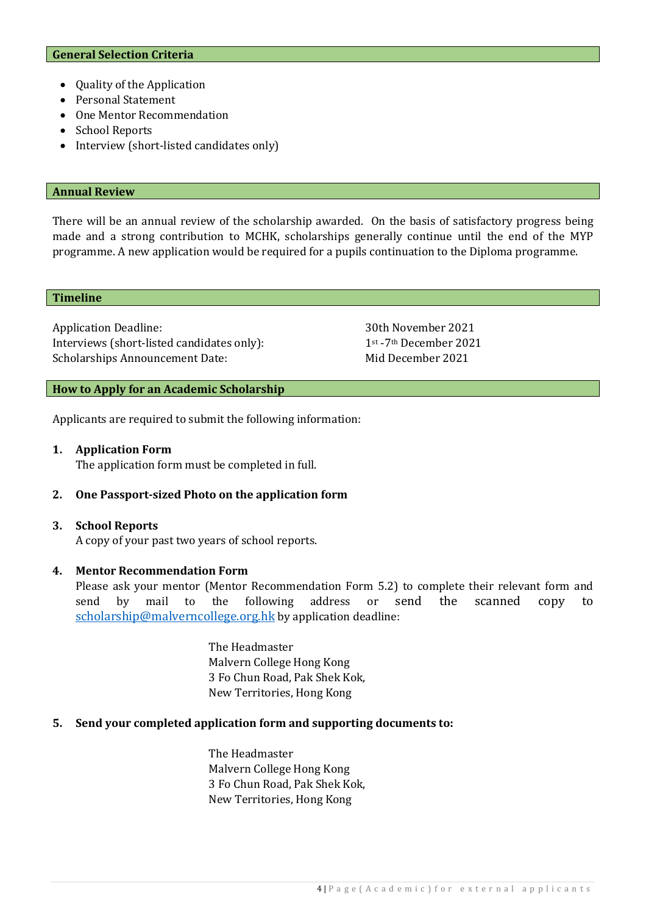- Quality of the Application
- Personal Statement
- One Mentor Recommendation
- School Reports
- Interview (short-listed candidates only)

#### **Annual Review**

There will be an annual review of the scholarship awarded. On the basis of satisfactory progress being made and a strong contribution to MCHK, scholarships generally continue until the end of the MYP programme. A new application would be required for a pupils continuation to the Diploma programme.

#### **Timeline**

Application Deadline: 30th November 2021<br>Interviews (short-listed candidates only): 1<sup>st</sup> -7<sup>th</sup> December 2021 Interviews (short-listed candidates only): 1<sup>st</sup> -7<sup>th</sup> December 20<br>Scholarships Announcement Date: Mid December 2021 Scholarships Announcement Date:

#### **How to Apply for an Academic Scholarship**

Applicants are required to submit the following information:

#### **1. Application Form**

The application form must be completed in full.

#### **2. One Passport-sized Photo on the application form**

#### **3. School Reports**

A copy of your past two years of school reports.

#### **4. Mentor Recommendation Form**

Please ask your mentor (Mentor Recommendation Form 5.2) to complete their relevant form and send by mail to the following address or send the scanned copy to send by mail to the following address or send the scanned copy to [scholarship@malverncollege.org.hk](mailto:scholarship@malverncollege.org.hk) by application deadline:

> The Headmaster Malvern College Hong Kong 3 Fo Chun Road, Pak Shek Kok, New Territories, Hong Kong

### **5. Send your completed application form and supporting documents to:**

The Headmaster Malvern College Hong Kong 3 Fo Chun Road, Pak Shek Kok, New Territories, Hong Kong